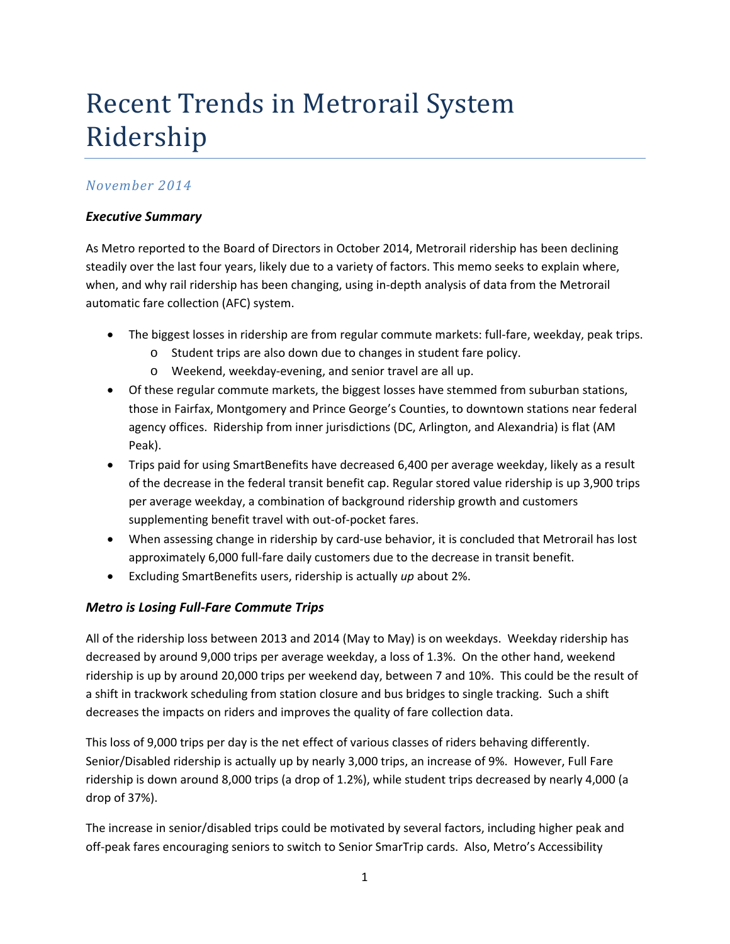# Recent Trends in Metrorail System Ridership

### *November 2014*

### *Executive Summary*

As Metro reported to the Board of Directors in October 2014, Metrorail ridership has been declining steadily over the last four years, likely due to a variety of factors. This memo seeks to explain where, when, and why rail ridership has been changing, using in‐depth analysis of data from the Metrorail automatic fare collection (AFC) system.

- The biggest losses in ridership are from regular commute markets: full‐fare, weekday, peak trips.
	- o Student trips are also down due to changes in student fare policy.
	- o Weekend, weekday‐evening, and senior travel are all up.
- Of these regular commute markets, the biggest losses have stemmed from suburban stations, those in Fairfax, Montgomery and Prince George's Counties, to downtown stations near federal agency offices. Ridership from inner jurisdictions (DC, Arlington, and Alexandria) is flat (AM Peak).
- Trips paid for using SmartBenefits have decreased 6,400 per average weekday, likely as a result of the decrease in the federal transit benefit cap. Regular stored value ridership is up 3,900 trips per average weekday, a combination of background ridership growth and customers supplementing benefit travel with out‐of‐pocket fares.
- When assessing change in ridership by card-use behavior, it is concluded that Metrorail has lost approximately 6,000 full-fare daily customers due to the decrease in transit benefit.
- Excluding SmartBenefits users, ridership is actually *up* about 2%.

### *Metro is Losing Full‐Fare Commute Trips*

All of the ridership loss between 2013 and 2014 (May to May) is on weekdays. Weekday ridership has decreased by around 9,000 trips per average weekday, a loss of 1.3%. On the other hand, weekend ridership is up by around 20,000 trips per weekend day, between 7 and 10%. This could be the result of a shift in trackwork scheduling from station closure and bus bridges to single tracking. Such a shift decreases the impacts on riders and improves the quality of fare collection data.

This loss of 9,000 trips per day is the net effect of various classes of riders behaving differently. Senior/Disabled ridership is actually up by nearly 3,000 trips, an increase of 9%. However, Full Fare ridership is down around 8,000 trips (a drop of 1.2%), while student trips decreased by nearly 4,000 (a drop of 37%).

The increase in senior/disabled trips could be motivated by several factors, including higher peak and off‐peak fares encouraging seniors to switch to Senior SmarTrip cards. Also, Metro's Accessibility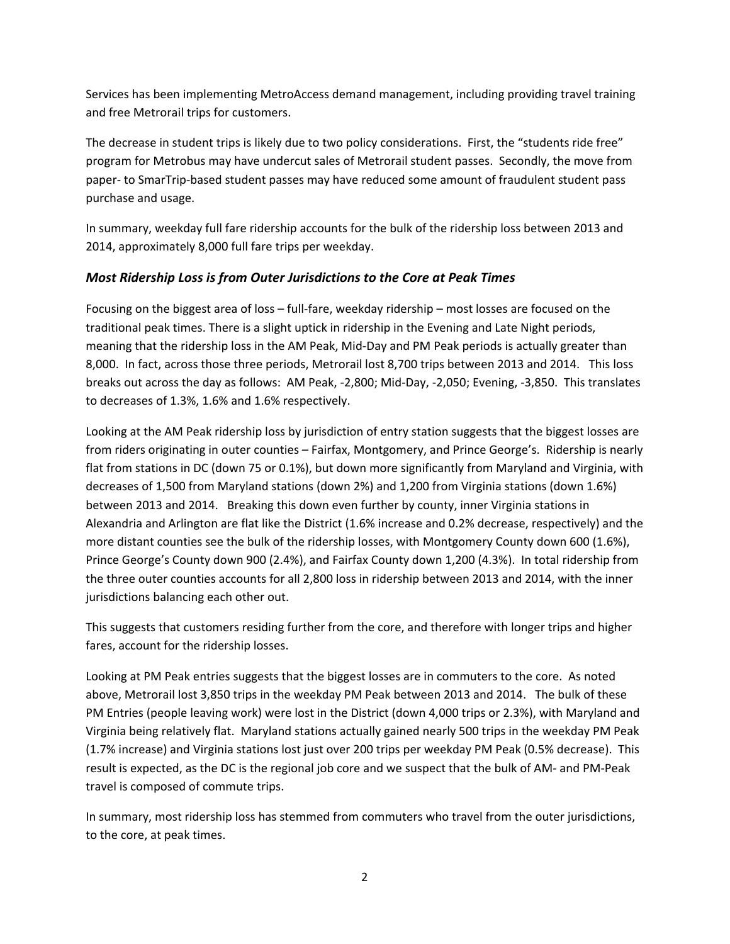Services has been implementing MetroAccess demand management, including providing travel training and free Metrorail trips for customers.

The decrease in student trips is likely due to two policy considerations. First, the "students ride free" program for Metrobus may have undercut sales of Metrorail student passes. Secondly, the move from paper‐ to SmarTrip‐based student passes may have reduced some amount of fraudulent student pass purchase and usage.

In summary, weekday full fare ridership accounts for the bulk of the ridership loss between 2013 and 2014, approximately 8,000 full fare trips per weekday.

### *Most Ridership Loss is from Outer Jurisdictions to the Core at Peak Times*

Focusing on the biggest area of loss – full‐fare, weekday ridership – most losses are focused on the traditional peak times. There is a slight uptick in ridership in the Evening and Late Night periods, meaning that the ridership loss in the AM Peak, Mid‐Day and PM Peak periods is actually greater than 8,000. In fact, across those three periods, Metrorail lost 8,700 trips between 2013 and 2014. This loss breaks out across the day as follows: AM Peak, ‐2,800; Mid‐Day, ‐2,050; Evening, ‐3,850. This translates to decreases of 1.3%, 1.6% and 1.6% respectively.

Looking at the AM Peak ridership loss by jurisdiction of entry station suggests that the biggest losses are from riders originating in outer counties – Fairfax, Montgomery, and Prince George's. Ridership is nearly flat from stations in DC (down 75 or 0.1%), but down more significantly from Maryland and Virginia, with decreases of 1,500 from Maryland stations (down 2%) and 1,200 from Virginia stations (down 1.6%) between 2013 and 2014. Breaking this down even further by county, inner Virginia stations in Alexandria and Arlington are flat like the District (1.6% increase and 0.2% decrease, respectively) and the more distant counties see the bulk of the ridership losses, with Montgomery County down 600 (1.6%), Prince George's County down 900 (2.4%), and Fairfax County down 1,200 (4.3%). In total ridership from the three outer counties accounts for all 2,800 loss in ridership between 2013 and 2014, with the inner jurisdictions balancing each other out.

This suggests that customers residing further from the core, and therefore with longer trips and higher fares, account for the ridership losses.

Looking at PM Peak entries suggests that the biggest losses are in commuters to the core. As noted above, Metrorail lost 3,850 trips in the weekday PM Peak between 2013 and 2014. The bulk of these PM Entries (people leaving work) were lost in the District (down 4,000 trips or 2.3%), with Maryland and Virginia being relatively flat. Maryland stations actually gained nearly 500 trips in the weekday PM Peak (1.7% increase) and Virginia stations lost just over 200 trips per weekday PM Peak (0.5% decrease). This result is expected, as the DC is the regional job core and we suspect that the bulk of AM‐ and PM‐Peak travel is composed of commute trips.

In summary, most ridership loss has stemmed from commuters who travel from the outer jurisdictions, to the core, at peak times.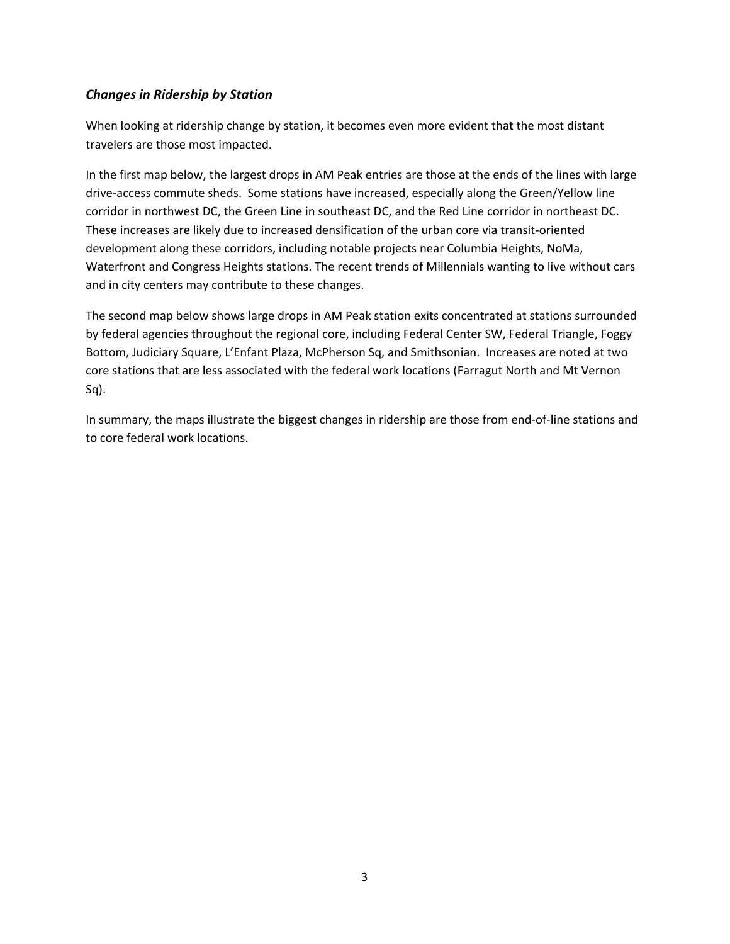### *Changes in Ridership by Station*

When looking at ridership change by station, it becomes even more evident that the most distant travelers are those most impacted.

In the first map below, the largest drops in AM Peak entries are those at the ends of the lines with large drive‐access commute sheds. Some stations have increased, especially along the Green/Yellow line corridor in northwest DC, the Green Line in southeast DC, and the Red Line corridor in northeast DC. These increases are likely due to increased densification of the urban core via transit‐oriented development along these corridors, including notable projects near Columbia Heights, NoMa, Waterfront and Congress Heights stations. The recent trends of Millennials wanting to live without cars and in city centers may contribute to these changes.

The second map below shows large drops in AM Peak station exits concentrated at stations surrounded by federal agencies throughout the regional core, including Federal Center SW, Federal Triangle, Foggy Bottom, Judiciary Square, L'Enfant Plaza, McPherson Sq, and Smithsonian. Increases are noted at two core stations that are less associated with the federal work locations (Farragut North and Mt Vernon Sq).

In summary, the maps illustrate the biggest changes in ridership are those from end‐of‐line stations and to core federal work locations.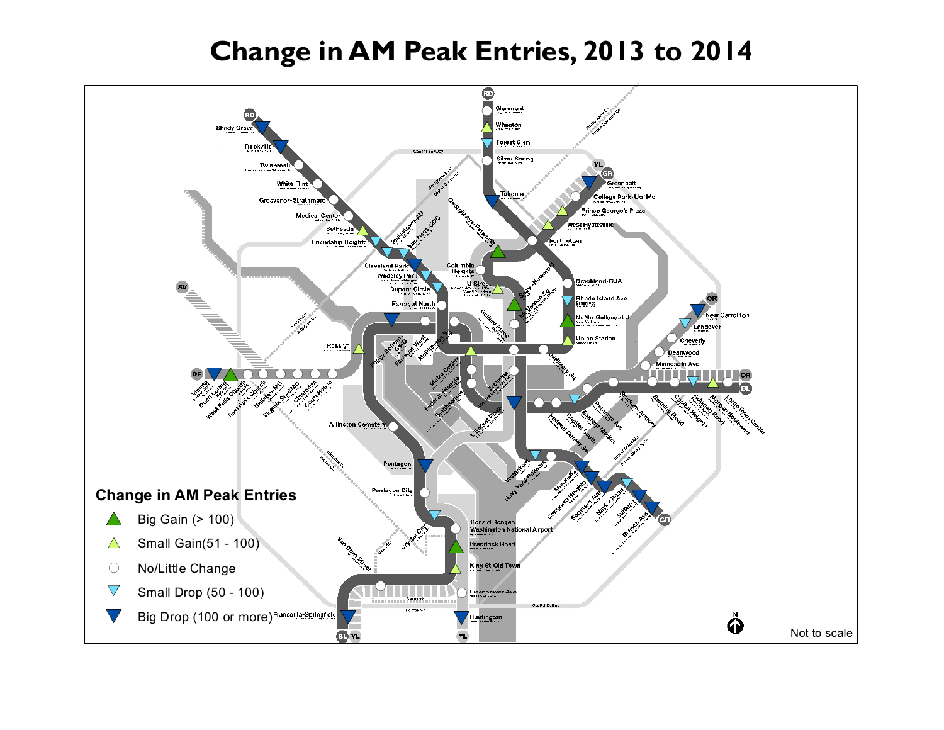## **Change in AM Peak Entries, 2013 to 2014**

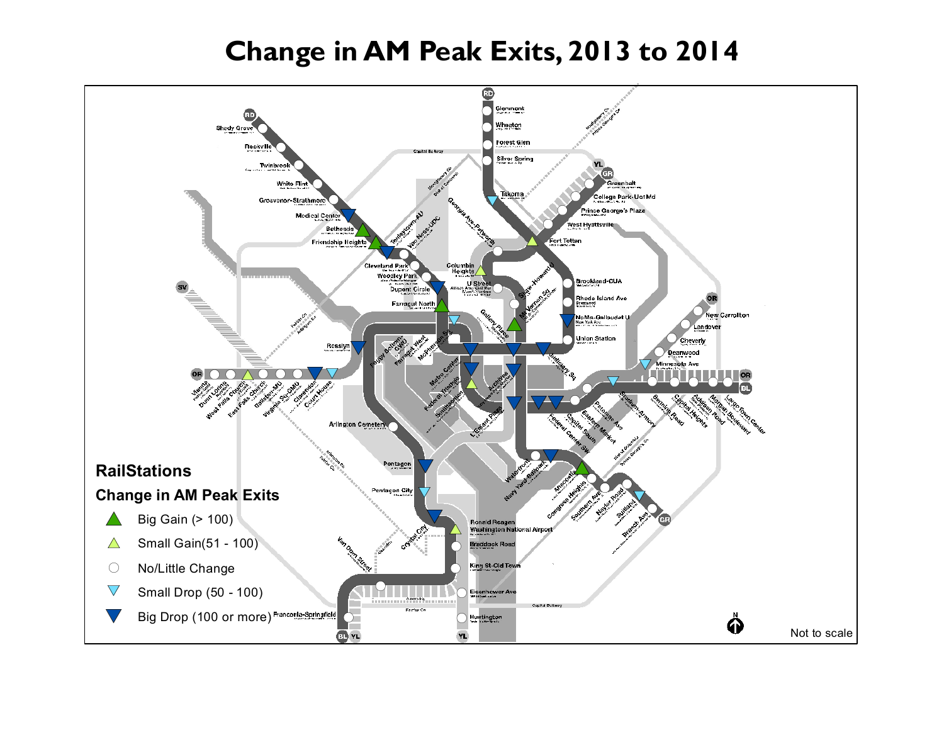## **Change in AM Peak Exits, 2013 to 2014**

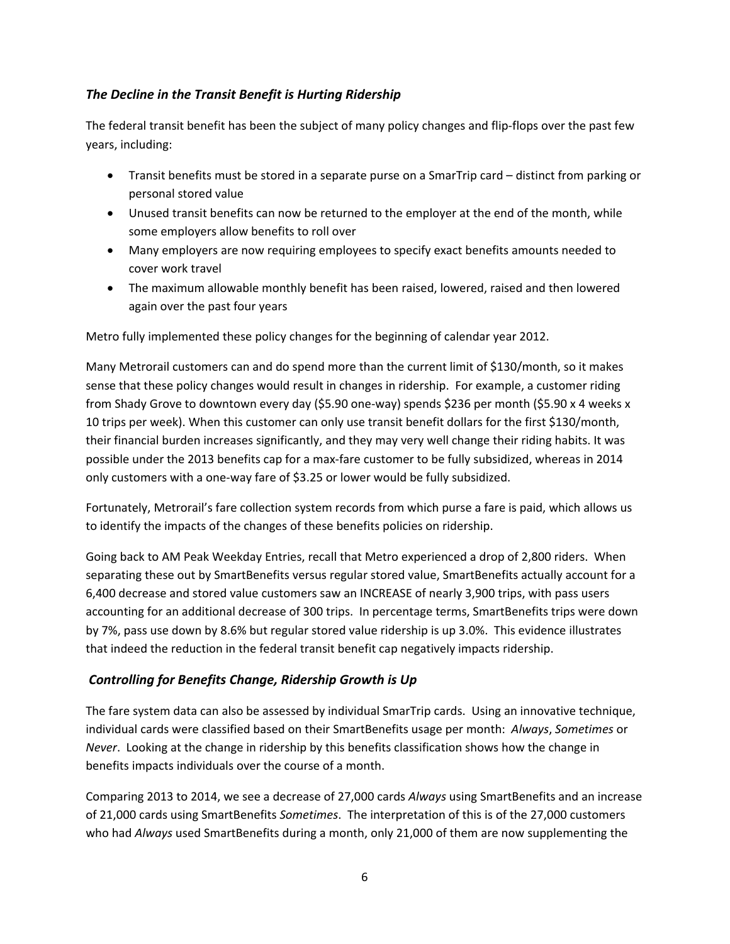### *The Decline in the Transit Benefit is Hurting Ridership*

The federal transit benefit has been the subject of many policy changes and flip‐flops over the past few years, including:

- Transit benefits must be stored in a separate purse on a SmarTrip card distinct from parking or personal stored value
- Unused transit benefits can now be returned to the employer at the end of the month, while some employers allow benefits to roll over
- Many employers are now requiring employees to specify exact benefits amounts needed to cover work travel
- The maximum allowable monthly benefit has been raised, lowered, raised and then lowered again over the past four years

Metro fully implemented these policy changes for the beginning of calendar year 2012.

Many Metrorail customers can and do spend more than the current limit of \$130/month, so it makes sense that these policy changes would result in changes in ridership. For example, a customer riding from Shady Grove to downtown every day (\$5.90 one‐way) spends \$236 per month (\$5.90 x 4 weeks x 10 trips per week). When this customer can only use transit benefit dollars for the first \$130/month, their financial burden increases significantly, and they may very well change their riding habits. It was possible under the 2013 benefits cap for a max‐fare customer to be fully subsidized, whereas in 2014 only customers with a one‐way fare of \$3.25 or lower would be fully subsidized.

Fortunately, Metrorail's fare collection system records from which purse a fare is paid, which allows us to identify the impacts of the changes of these benefits policies on ridership.

Going back to AM Peak Weekday Entries, recall that Metro experienced a drop of 2,800 riders. When separating these out by SmartBenefits versus regular stored value, SmartBenefits actually account for a 6,400 decrease and stored value customers saw an INCREASE of nearly 3,900 trips, with pass users accounting for an additional decrease of 300 trips. In percentage terms, SmartBenefits trips were down by 7%, pass use down by 8.6% but regular stored value ridership is up 3.0%. This evidence illustrates that indeed the reduction in the federal transit benefit cap negatively impacts ridership.

#### *Controlling for Benefits Change, Ridership Growth is Up*

The fare system data can also be assessed by individual SmarTrip cards. Using an innovative technique, individual cards were classified based on their SmartBenefits usage per month: *Always*, *Sometimes* or *Never*. Looking at the change in ridership by this benefits classification shows how the change in benefits impacts individuals over the course of a month.

Comparing 2013 to 2014, we see a decrease of 27,000 cards *Always* using SmartBenefits and an increase of 21,000 cards using SmartBenefits *Sometimes*. The interpretation of this is of the 27,000 customers who had *Always* used SmartBenefits during a month, only 21,000 of them are now supplementing the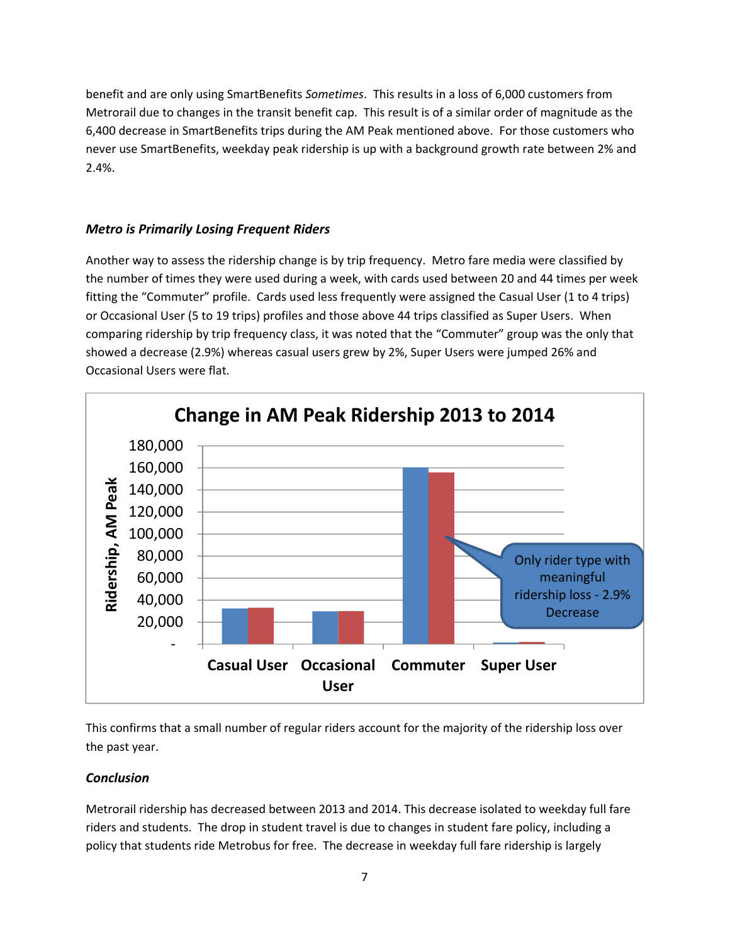benefit and are only using SmartBenefits *Sometimes*. This results in a loss of 6,000 customers from Metrorail due to changes in the transit benefit cap. This result is of a similar order of magnitude as the 6,400 decrease in SmartBenefits trips during the AM Peak mentioned above. For those customers who never use SmartBenefits, weekday peak ridership is up with a background growth rate between 2% and 2.4%.

### *Metro is Primarily Losing Frequent Riders*

Another way to assess the ridership change is by trip frequency. Metro fare media were classified by the number of times they were used during a week, with cards used between 20 and 44 times per week fitting the "Commuter" profile. Cards used less frequently were assigned the Casual User (1 to 4 trips) or Occasional User (5 to 19 trips) profiles and those above 44 trips classified as Super Users. When comparing ridership by trip frequency class, it was noted that the "Commuter" group was the only that showed a decrease (2.9%) whereas casual users grew by 2%, Super Users were jumped 26% and Occasional Users were flat.



This confirms that a small number of regular riders account for the majority of the ridership loss over the past year.

#### *Conclusion*

Metrorail ridership has decreased between 2013 and 2014. This decrease isolated to weekday full fare riders and students. The drop in student travel is due to changes in student fare policy, including a policy that students ride Metrobus for free. The decrease in weekday full fare ridership is largely